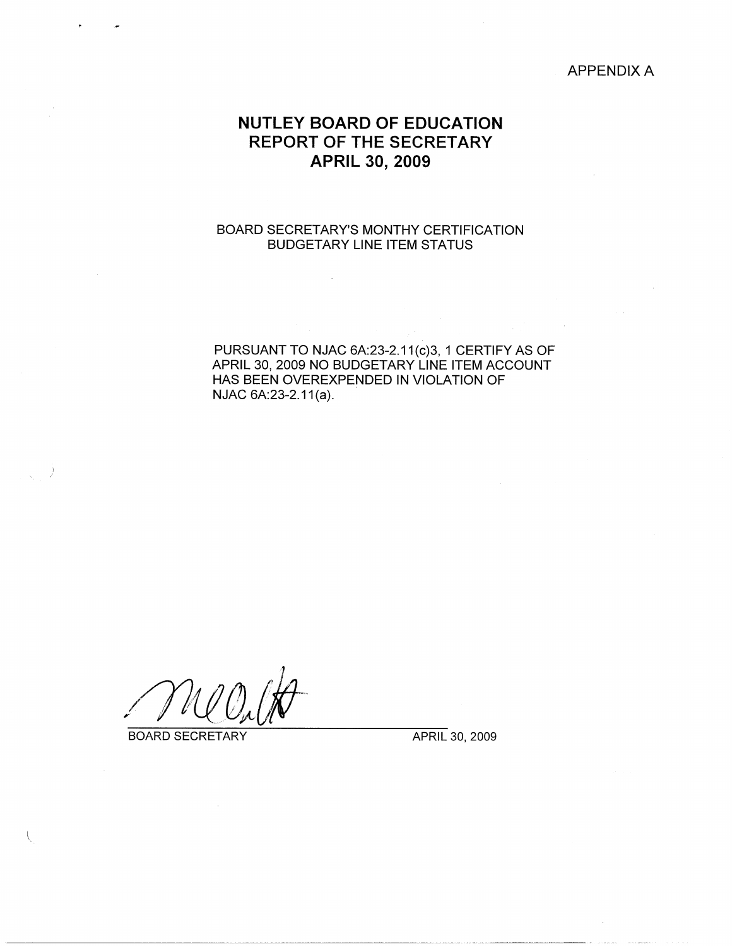#### APPENDIX A

# **NUTLEY BOARD OF EDUCATION REPORT OF THE SECRETARY APRIL 30, 2009**

### BOARD SECRETARY'S MONTHY CERTIFICATION BUDGETARY LINE ITEM STATUS

PURSUANT TO NJAC 6A:23-2.11(c)3, 1 CERTIFY AS OF APRIL 30, 2009 NO BUDGETARY LINE ITEM ACCOUNT HAS BEEN OVEREXPENDED IN VIOLATION OF NJAC 6A:23-2.11(a).

BOARD SECRETARY APRIL 30, 2009

I *I*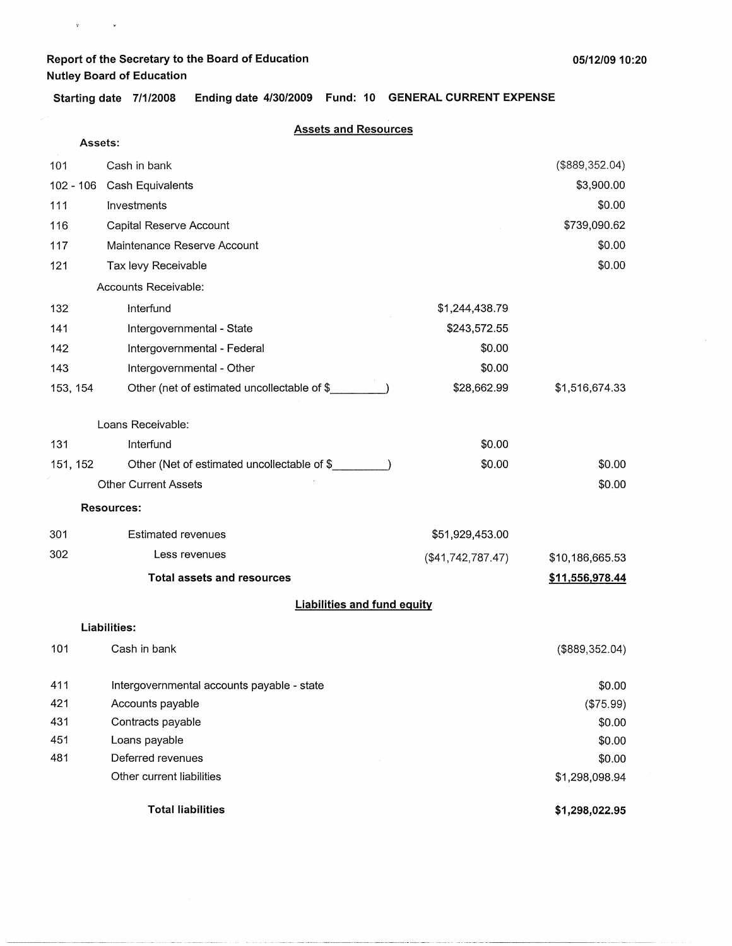$\mathbf{v} = (v_1, \ldots, v_n)$ 

**05/12/09 10:20** 

**Starting date 7/1/2008 Ending date 4/30/2009 Fund: 10 GENERAL CURRENT EXPENSE** 

#### **Assets and Resources**

|          | Assets:                                     |                   |                 |
|----------|---------------------------------------------|-------------------|-----------------|
| 101      | Cash in bank                                |                   | (\$889,352.04)  |
|          | 102 - 106 Cash Equivalents                  |                   | \$3,900.00      |
| 111      | Investments                                 |                   | \$0.00          |
| 116      | Capital Reserve Account                     |                   | \$739,090.62    |
| 117      | Maintenance Reserve Account                 |                   | \$0.00          |
| 121      | Tax levy Receivable                         |                   | \$0.00          |
|          | Accounts Receivable:                        |                   |                 |
| 132      | Interfund                                   | \$1,244,438.79    |                 |
| 141      | Intergovernmental - State                   | \$243,572.55      |                 |
| 142      | Intergovernmental - Federal                 | \$0.00            |                 |
| 143      | Intergovernmental - Other                   | \$0.00            |                 |
| 153, 154 | Other (net of estimated uncollectable of \$ | \$28,662.99       | \$1,516,674.33  |
|          |                                             |                   |                 |
|          | Loans Receivable:                           |                   |                 |
| 131      | Interfund                                   | \$0.00            |                 |
| 151, 152 | Other (Net of estimated uncollectable of \$ | \$0.00            | \$0.00          |
|          | <b>Other Current Assets</b>                 |                   | \$0.00          |
|          | <b>Resources:</b>                           |                   |                 |
| 301      | <b>Estimated revenues</b>                   | \$51,929,453.00   |                 |
| 302      | Less revenues                               | (\$41,742,787.47) | \$10,186,665.53 |
|          | <b>Total assets and resources</b>           |                   | \$11,556,978.44 |
|          | <b>Liabilities and fund equity</b>          |                   |                 |
|          | <b>Liabilities:</b>                         |                   |                 |
| 101      | Cash in bank                                |                   | (\$889,352.04)  |
|          |                                             |                   |                 |
| 411      | Intergovernmental accounts payable - state  |                   | \$0.00          |
| 421      | Accounts payable                            |                   | (\$75.99)       |
| 431      | Contracts payable                           |                   | \$0.00          |
| 451      | Loans payable                               |                   | \$0.00          |
| 481      | Deferred revenues                           |                   | \$0.00          |
|          | Other current liabilities                   |                   | \$1,298,098.94  |
|          | <b>Total liabilities</b>                    |                   | \$1,298,022.95  |

- ------ ·---~- --- ·--·-------·-- ----- ---------------------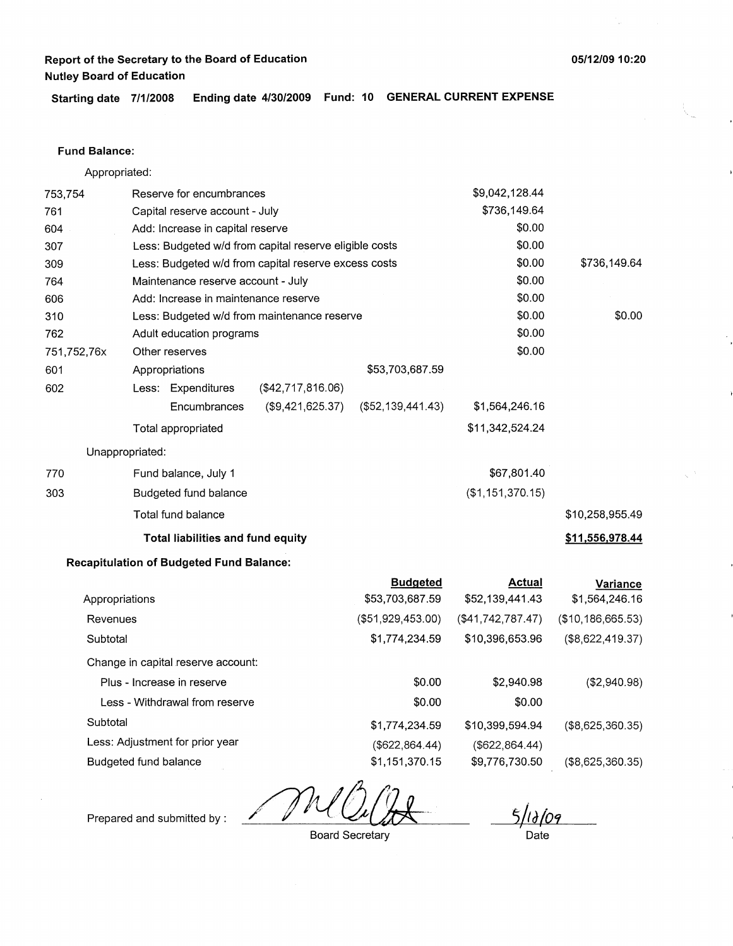**Starting date 7/1/2008 Ending date 4/30/2009 Fund: 10 GENERAL CURRENT EXPENSE** 

### **Fund Balance:**

Appropriated:

| 753,754     |                       | Reserve for encumbrances                               |                                                      |                   | \$9,042,128.44    |                     |
|-------------|-----------------------|--------------------------------------------------------|------------------------------------------------------|-------------------|-------------------|---------------------|
| 761         |                       | Capital reserve account - July                         |                                                      |                   | \$736,149.64      |                     |
| 604         |                       | Add: Increase in capital reserve                       |                                                      |                   | \$0.00            |                     |
| 307         |                       | Less: Budgeted w/d from capital reserve eligible costs |                                                      |                   | \$0.00            |                     |
| 309         |                       |                                                        | Less: Budgeted w/d from capital reserve excess costs |                   | \$0.00            | \$736,149.64        |
| 764         |                       | Maintenance reserve account - July                     |                                                      |                   | \$0.00            |                     |
| 606         |                       | Add: Increase in maintenance reserve                   |                                                      |                   | \$0.00            |                     |
| 310         |                       |                                                        | Less: Budgeted w/d from maintenance reserve          |                   | \$0.00            | \$0.00              |
| 762         |                       | Adult education programs                               |                                                      |                   | \$0.00            |                     |
| 751,752,76x |                       | Other reserves                                         |                                                      |                   | \$0.00            |                     |
| 601         |                       | Appropriations                                         |                                                      | \$53,703,687.59   |                   |                     |
| 602         |                       | Less: Expenditures                                     | (\$42,717,816.06)                                    |                   |                   |                     |
|             |                       | Encumbrances                                           | (\$9,421,625.37)                                     | (\$52,139,441.43) | \$1,564,246.16    |                     |
|             |                       | Total appropriated                                     |                                                      |                   | \$11,342,524.24   |                     |
|             | Unappropriated:       |                                                        |                                                      |                   |                   |                     |
| 770         |                       | Fund balance, July 1                                   |                                                      |                   | \$67,801.40       |                     |
| 303         |                       | Budgeted fund balance                                  |                                                      |                   | (\$1,151,370.15)  |                     |
|             |                       | Total fund balance                                     |                                                      |                   |                   | \$10,258,955.49     |
|             |                       | Total liabilities and fund equity                      |                                                      |                   |                   | \$11,556,978.44     |
|             |                       | <b>Recapitulation of Budgeted Fund Balance:</b>        |                                                      |                   |                   |                     |
|             |                       |                                                        |                                                      | <b>Budgeted</b>   | <b>Actual</b>     | Variance            |
|             | Appropriations        |                                                        |                                                      | \$53,703,687.59   | \$52,139,441.43   | \$1,564,246.16      |
| Revenues    |                       |                                                        |                                                      | (\$51,929,453.00) | (\$41,742,787.47) | (\$10, 186, 665.53) |
| Subtotal    |                       |                                                        |                                                      | \$1,774,234.59    | \$10,396,653.96   | (\$8,622,419.37)    |
|             |                       | Change in capital reserve account:                     |                                                      |                   |                   |                     |
|             |                       | Plus - Increase in reserve                             |                                                      | \$0.00            | \$2,940.98        | (\$2,940.98)        |
|             |                       | Less - Withdrawal from reserve                         |                                                      | \$0.00            | \$0.00            |                     |
| Subtotal    |                       |                                                        |                                                      | \$1,774,234.59    | \$10,399,594.94   | (\$8,625,360.35)    |
|             |                       | Less: Adjustment for prior year                        |                                                      | (\$622, 864.44)   | (\$622, 864.44)   |                     |
|             | Budgeted fund balance |                                                        |                                                      | \$1,151,370.15    | \$9,776,730.50    | (\$8,625,360.35)    |

IN9 Date

Prepared and submitted by :

**05/12/09 10:20** 

Ĩμ.

Board Secretary

\$9,776,730.50 (\$8,625,360.35)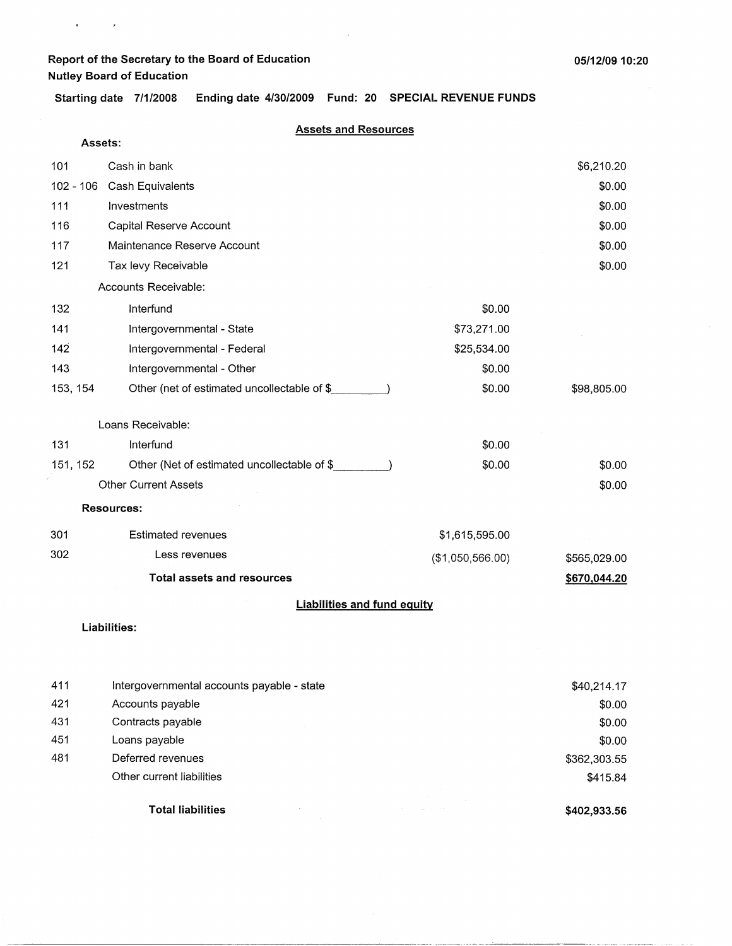$\mathbf{v} = \left\langle \begin{array}{cc} 0 & \mathbf{v} \\ \mathbf{v} & \mathbf{v} \end{array} \right\rangle$ 

**Starting date 7/1/2008 Ending date 4/30/2009 Fund: 20 SPECIAL REVENUE FUNDS** 

#### **Assets and Resources**

| Assets:     |                                             |                  |              |
|-------------|---------------------------------------------|------------------|--------------|
| 101         | Cash in bank                                |                  | \$6,210.20   |
| $102 - 106$ | Cash Equivalents                            |                  | \$0.00       |
| 111         | Investments                                 |                  | \$0.00       |
| 116         | Capital Reserve Account                     |                  | \$0.00       |
| 117         | Maintenance Reserve Account                 |                  | \$0.00       |
| 121         | Tax levy Receivable                         |                  | \$0.00       |
|             | Accounts Receivable:                        |                  |              |
| 132         | Interfund                                   | \$0.00           |              |
| 141         | Intergovernmental - State                   | \$73,271.00      |              |
| 142         | Intergovernmental - Federal                 | \$25,534.00      |              |
| 143         | Intergovernmental - Other                   | \$0.00           |              |
| 153, 154    | Other (net of estimated uncollectable of \$ | \$0.00           | \$98,805.00  |
|             | Loans Receivable:                           |                  |              |
| 131         | Interfund                                   | \$0.00           |              |
| 151, 152    | Other (Net of estimated uncollectable of \$ | \$0.00           | \$0.00       |
|             | <b>Other Current Assets</b>                 |                  | \$0.00       |
|             | <b>Resources:</b>                           |                  |              |
| 301         | <b>Estimated revenues</b>                   | \$1,615,595.00   |              |
| 302         | Less revenues                               | (\$1,050,566.00) | \$565,029.00 |
|             | <b>Total assets and resources</b>           |                  | \$670,044.20 |
|             | <b>Liabilities and fund equity</b>          |                  |              |
|             | Liahilitiae:                                |                  |              |

#### **Liabilities:**

| 411 | Intergovernmental accounts payable - state |                       | \$40,214.17  |
|-----|--------------------------------------------|-----------------------|--------------|
| 421 | Accounts payable                           |                       | \$0.00       |
| 431 | Contracts payable                          |                       | \$0.00       |
| 451 | Loans payable                              |                       | \$0.00       |
| 481 | Deferred revenues                          |                       | \$362,303.55 |
|     | Other current liabilities                  |                       | \$415.84     |
|     | <b>Total liabilities</b>                   | contract the contract | \$402,933.56 |

~---------------------------- -------------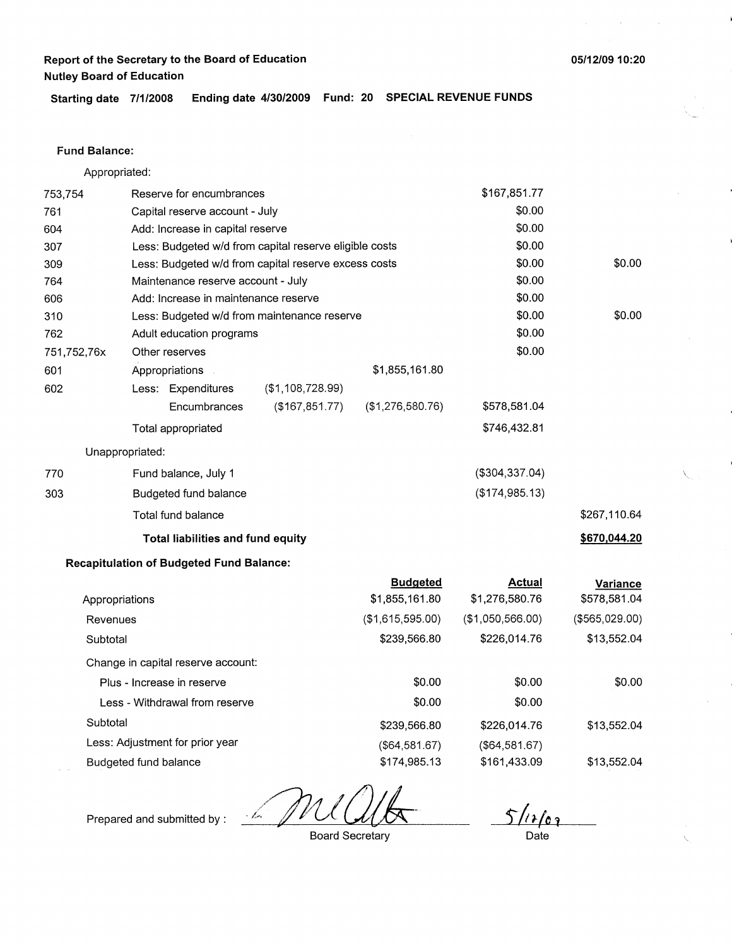### **Fund Balance:**

761

753,754 604 Appropriated: Reserve for encumbrances Capital reserve account - July Add: Increase in capital reserve 307 309 764 Less: Budgeted w/d from capital reserve eligible costs Less: Budgeted w/d from capital reserve excess costs Maintenance reserve account - July 606 Add: Increase in maintenance reserve 310 762 751,752,76x 601 Less: Budgeted w/d from maintenance reserve Adult education programs Other reserves Appropriations 602 770 303 Less: Expenditures **Encumbrances** Total appropriated Unappropriated: Fund balance, July 1 Budgeted fund balance Total fund balance (\$1,108,728.99) (\$167,851.77) **Total liabilities and fund equity Recapitulation of Budgeted Fund Balance:**  \$1,855, 161.80 (\$1,276,580.76) **Budgeted**  \$167,851.77 \$0.00 \$0.00 \$0.00 \$0.00 \$0.00 \$0.00 \$0.00 \$0.00 \$0.00 \$578,581.04 \$746,432.81 (\$304,337.04) (\$174,985.13) **Actual** 

| Appropriations                     | \$1,855,161.80   | \$1,276,580.76   | \$578,581.04   |
|------------------------------------|------------------|------------------|----------------|
| Revenues                           | (\$1,615,595.00) | (\$1,050,566.00) | (\$565,029.00) |
| Subtotal                           | \$239,566.80     | \$226,014.76     | \$13,552.04    |
| Change in capital reserve account: |                  |                  |                |
| Plus - Increase in reserve         | \$0.00           | \$0.00           | \$0.00         |
| Less - Withdrawal from reserve     | \$0.00           | \$0.00           |                |
| Subtotal                           | \$239,566.80     | \$226,014.76     | \$13,552.04    |
| Less: Adjustment for prior year    | (\$64,581.67)    | (\$64,581.67)    |                |
| Budgeted fund balance              | \$174,985.13     | \$161,433.09     | \$13,552.04    |

- ka

 $\frac{\int \sqrt{1} f(x)}{\text{Date}}$ 

Prepared and submitted by :

Board Secretary

\$0.00

\$0.00

\$267,110.64

**\$670,044.20** 

**Variance** 

 $\overline{\phantom{0}}$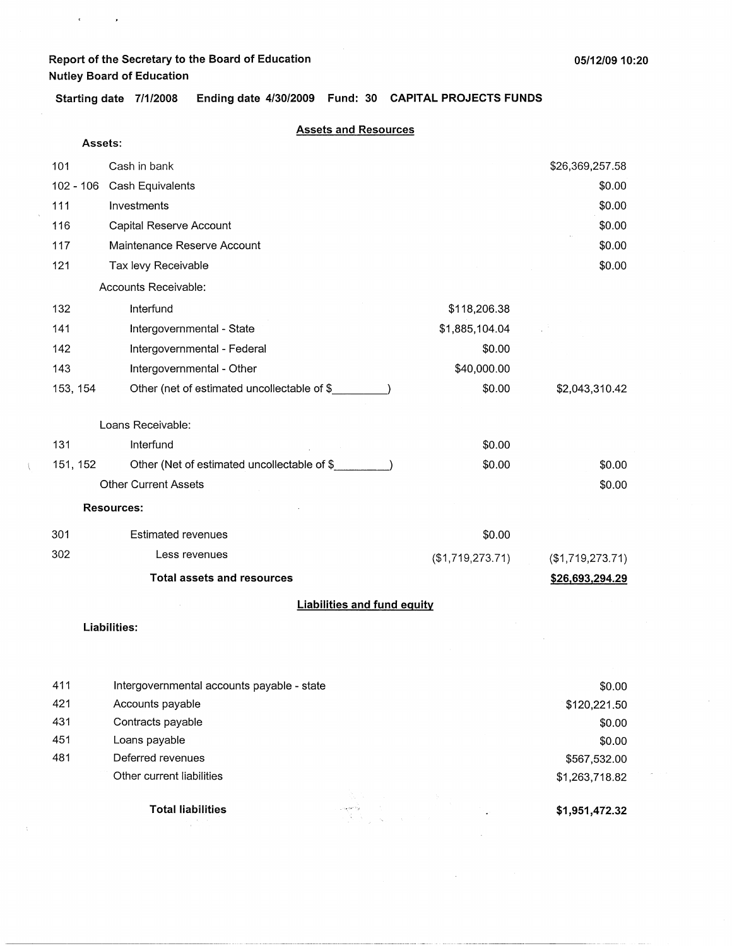$\mathbf{C}^{\text{max}}_{\text{max}}$ 

 $\langle$ 

**Starting date 7/1/2008 Ending date 4/30/2009 Fund: 30 CAPITAL PROJECTS FUNDS** 

#### **Assets and Resources**

| Assets:     |                                             |                  |                     |
|-------------|---------------------------------------------|------------------|---------------------|
| 101         | Cash in bank                                |                  | \$26,369,257.58     |
| $102 - 106$ | Cash Equivalents                            |                  | \$0.00              |
| 111         | Investments                                 |                  | \$0.00              |
| 116         | Capital Reserve Account                     |                  | \$0.00              |
| 117         | Maintenance Reserve Account                 |                  | \$0.00              |
| 121         | Tax levy Receivable                         |                  | \$0.00              |
|             | Accounts Receivable:                        |                  |                     |
| 132         | Interfund                                   | \$118,206.38     |                     |
| 141         | Intergovernmental - State                   | \$1,885,104.04   |                     |
| 142         | Intergovernmental - Federal                 | \$0.00           |                     |
| 143         | Intergovernmental - Other                   | \$40,000.00      |                     |
| 153, 154    | Other (net of estimated uncollectable of \$ | \$0.00           | \$2,043,310.42      |
|             |                                             |                  |                     |
|             | Loans Receivable:                           |                  |                     |
| 131         | Interfund                                   | \$0.00           |                     |
| 151, 152    | Other (Net of estimated uncollectable of \$ | \$0.00           | \$0.00              |
|             | <b>Other Current Assets</b>                 |                  | \$0.00              |
|             | <b>Resources:</b>                           |                  |                     |
| 301         | <b>Estimated revenues</b>                   | \$0.00           |                     |
| 302         | Less revenues                               | (\$1,719,273.71) | $($ \$1,719,273.71) |
|             | <b>Total assets and resources</b>           |                  | \$26,693,294.29     |
|             | <b>Liabilities and fund equity</b>          |                  |                     |
|             | <b>Liabilities:</b>                         |                  |                     |
|             |                                             |                  |                     |
|             |                                             |                  |                     |
| 411         | Intergovernmental accounts payable - state  |                  | \$0.00              |

|     |                           |                                                                                      |            | vv.vv          |
|-----|---------------------------|--------------------------------------------------------------------------------------|------------|----------------|
| 421 | Accounts payable          |                                                                                      |            | \$120,221.50   |
| 431 | Contracts payable         |                                                                                      |            | \$0.00         |
| 451 | Loans payable             |                                                                                      |            | \$0.00         |
| 481 | Deferred revenues         |                                                                                      |            | \$567,532.00   |
|     | Other current liabilities |                                                                                      |            | \$1,263,718.82 |
|     | <b>Total liabilities</b>  | and the state<br>35 C<br>e <del>sama</del><br>1970 - Johann Stein, skrivatsk politik | <b>Car</b> | \$1,951,472.32 |

 $\bar{z}$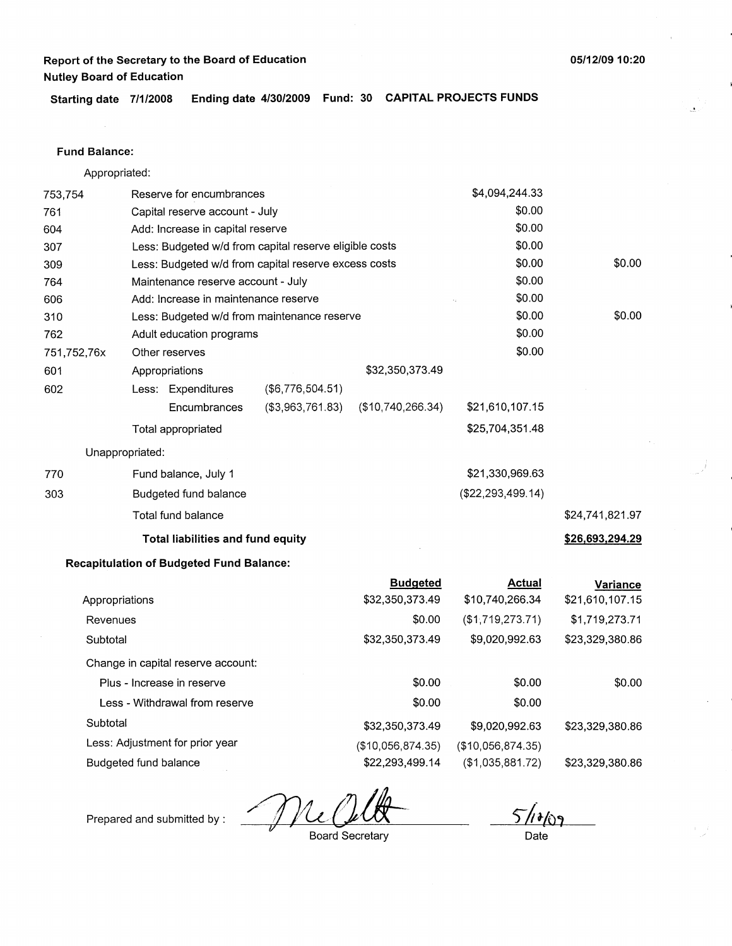**Starting date 7/1/2008 Ending date 4/30/2009 Fund: 30 CAPITAL PROJECTS FUNDS** 

### **Fund Balance:**

Appropriated:

| 753,754        |                       | Reserve for encumbrances                               |                                                      |                   | \$4,094,244.33      |                 |
|----------------|-----------------------|--------------------------------------------------------|------------------------------------------------------|-------------------|---------------------|-----------------|
| 761            |                       | Capital reserve account - July                         |                                                      |                   | \$0.00              |                 |
| 604            |                       | Add: Increase in capital reserve                       |                                                      |                   | \$0.00              |                 |
| 307            |                       | Less: Budgeted w/d from capital reserve eligible costs |                                                      |                   | \$0.00              |                 |
| 309            |                       |                                                        | Less: Budgeted w/d from capital reserve excess costs |                   | \$0.00              | \$0.00          |
| 764            |                       | Maintenance reserve account - July                     |                                                      |                   | \$0.00              |                 |
| 606            |                       | Add: Increase in maintenance reserve                   |                                                      |                   | \$0.00              |                 |
| 310            |                       |                                                        | Less: Budgeted w/d from maintenance reserve          |                   | \$0.00              | \$0.00          |
| 762            |                       | Adult education programs                               |                                                      |                   | \$0.00              |                 |
| 751,752,76x    |                       | Other reserves                                         |                                                      |                   | \$0.00              |                 |
| 601            |                       | Appropriations                                         |                                                      | \$32,350,373.49   |                     |                 |
| 602            |                       | Less: Expenditures                                     | (\$6,776,504.51)                                     |                   |                     |                 |
|                |                       | Encumbrances                                           | (\$3,963,761.83)                                     | (\$10,740,266.34) | \$21,610,107.15     |                 |
|                |                       | Total appropriated                                     |                                                      |                   | \$25,704,351.48     |                 |
|                | Unappropriated:       |                                                        |                                                      |                   |                     |                 |
| 770            |                       | Fund balance, July 1                                   |                                                      |                   | \$21,330,969.63     |                 |
| 303            |                       | Budgeted fund balance                                  |                                                      |                   | (\$22, 293, 499.14) |                 |
|                |                       | Total fund balance                                     |                                                      |                   |                     | \$24,741,821.97 |
|                |                       | Total liabilities and fund equity                      |                                                      |                   |                     | \$26,693,294.29 |
|                |                       | <b>Recapitulation of Budgeted Fund Balance:</b>        |                                                      |                   |                     |                 |
|                |                       |                                                        |                                                      | <b>Budgeted</b>   | <b>Actual</b>       | <b>Variance</b> |
| Appropriations |                       |                                                        |                                                      | \$32,350,373.49   | \$10,740,266.34     | \$21,610,107.15 |
| Revenues       |                       |                                                        |                                                      | \$0.00            | (\$1,719,273.71)    | \$1,719,273.71  |
| Subtotal       |                       |                                                        |                                                      | \$32,350,373.49   | \$9,020,992.63      | \$23,329,380.86 |
|                |                       | Change in capital reserve account:                     |                                                      |                   |                     |                 |
|                |                       | Plus - Increase in reserve                             |                                                      | \$0.00            | \$0.00              | \$0.00          |
|                |                       | Less - Withdrawal from reserve                         |                                                      | \$0.00            | \$0.00              |                 |
| Subtotal       |                       |                                                        |                                                      | \$32,350,373.49   | \$9,020,992.63      | \$23,329,380.86 |
|                |                       | Less: Adjustment for prior year                        |                                                      | (\$10,056,874.35) | (\$10,056,874.35)   |                 |
|                | Budgeted fund balance |                                                        |                                                      | \$22,293,499.14   | (\$1,035,881.72)    | \$23,329,380.86 |

A Me Cult

 $5/1009$ 

Prepared and submitted by :

Date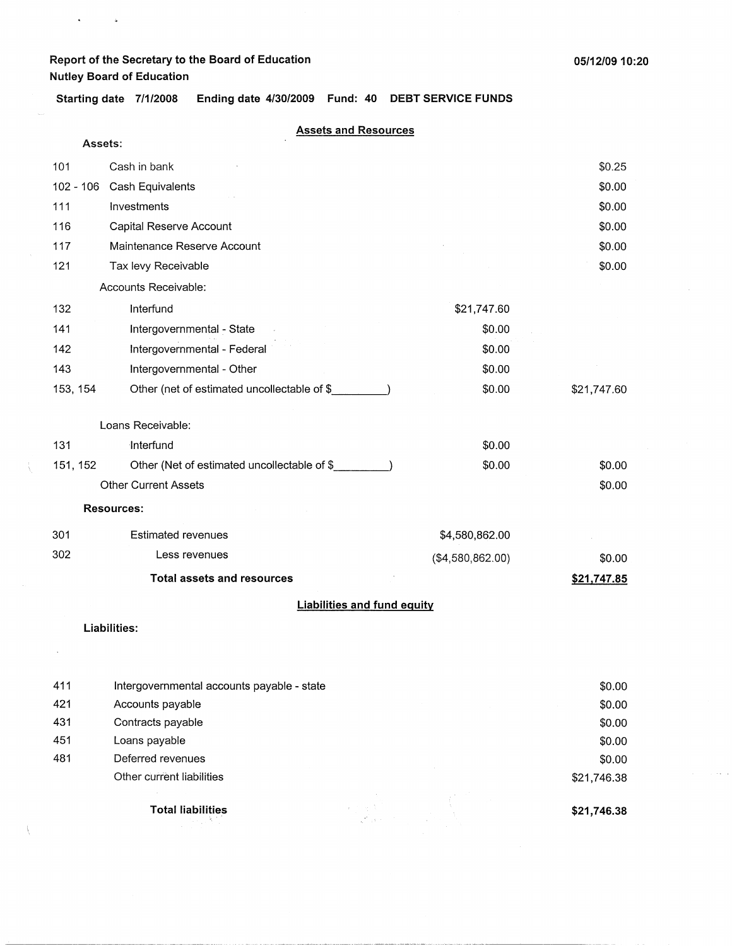**Assets:** 

 $\mathbf{A}^{(1)}$  and  $\mathbf{A}^{(2)}$ 

**Starting date 7/1/2008 Ending date 4/30/2009 Fund: 40 DEBT SERVICE FUNDS** 

#### **Assets and Resources**

|             | <b>Liabilities and fund equity</b>          |                  |             |
|-------------|---------------------------------------------|------------------|-------------|
|             | <b>Total assets and resources</b>           |                  | \$21,747.85 |
| 302         | Less revenues                               | (\$4,580,862.00) | \$0.00      |
| 301         | <b>Estimated revenues</b>                   | \$4,580,862.00   |             |
|             | <b>Resources:</b>                           |                  |             |
|             | <b>Other Current Assets</b>                 |                  | \$0.00      |
| 151, 152    | Other (Net of estimated uncollectable of \$ | \$0.00           | \$0.00      |
| 131         | Interfund                                   | \$0.00           |             |
|             | Loans Receivable:                           |                  |             |
| 153, 154    | Other (net of estimated uncollectable of \$ | \$0.00           | \$21,747.60 |
| 143         | Intergovernmental - Other                   | \$0.00           |             |
| 142         | Intergovernmental - Federal                 | \$0.00           |             |
| 141         | Intergovernmental - State                   | \$0.00           |             |
| 132         | Interfund                                   | \$21,747.60      |             |
|             | Accounts Receivable:                        |                  |             |
| 121         | Tax levy Receivable                         |                  | \$0.00      |
| 117         | Maintenance Reserve Account                 |                  | \$0.00      |
| 116         | Capital Reserve Account                     |                  | \$0.00      |
| 111         | Investments                                 |                  | \$0.00      |
| $102 - 106$ | Cash Equivalents                            |                  | \$0.00      |
| 101         | Cash in bank                                |                  | \$0.25      |

#### **Liabilities:**

|     | <b>Total liabilities</b>                   |  | \$21,746.38 |
|-----|--------------------------------------------|--|-------------|
|     | Other current liabilities                  |  | \$21,746.38 |
| 481 | Deferred revenues                          |  | \$0.00      |
| 451 | Loans payable                              |  | \$0.00      |
| 431 | Contracts payable                          |  | \$0.00      |
| 421 | Accounts payable                           |  | \$0.00      |
| 411 | Intergovernmental accounts payable - state |  | \$0.00      |

-· ----- --~-----------~-·---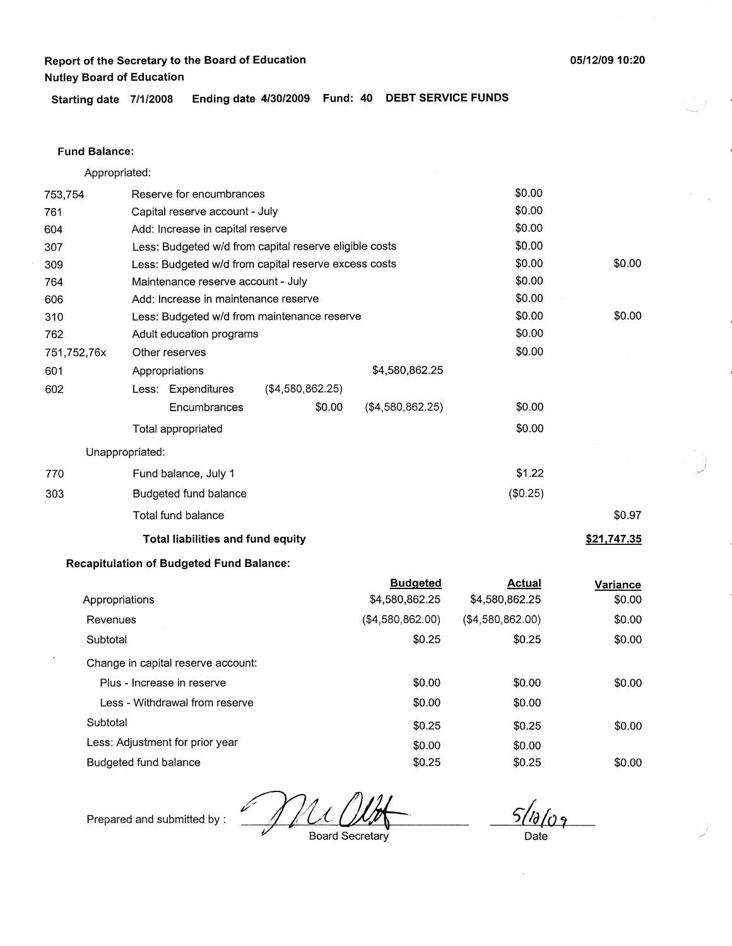**05/12/09 10:20** 

 $\frac{1}{\sqrt{2}}$ 

/

**Starting date 7/1/2008 Ending date 4/30/2009 Fund: 40 DEBT SERVICE FUNDS** 

### **Fund Balance:**

Appropriated:

| 753,754         | Reserve for encumbrances                               | \$0.00   |                    |
|-----------------|--------------------------------------------------------|----------|--------------------|
| 761             | Capital reserve account - July                         | \$0.00   |                    |
| 604             | Add: Increase in capital reserve                       | \$0.00   |                    |
| 307             | Less: Budgeted w/d from capital reserve eligible costs | \$0.00   |                    |
| 309             | Less: Budgeted w/d from capital reserve excess costs   | \$0.00   | \$0.00             |
| 764             | Maintenance reserve account - July                     | \$0.00   |                    |
| 606             | Add: Increase in maintenance reserve                   | \$0.00   |                    |
| 310             | Less: Budgeted w/d from maintenance reserve            | \$0.00   | \$0.00             |
| 762             | Adult education programs                               | \$0.00   |                    |
| 751,752,76x     | Other reserves                                         | \$0.00   |                    |
| 601             | \$4,580,862.25<br>Appropriations                       |          |                    |
| 602             | ( \$4,580,862.25)<br>Less: Expenditures                |          |                    |
|                 | \$0.00<br>(\$4,580,862.25)<br>Encumbrances             | \$0.00   |                    |
|                 | Total appropriated                                     | \$0.00   |                    |
| Unappropriated: |                                                        |          |                    |
| 770             | Fund balance, July 1                                   | \$1.22   |                    |
| 303             | Budgeted fund balance                                  | (\$0.25) |                    |
|                 | Total fund balance                                     |          | \$0.97             |
|                 | <b>Total liabilities and fund equity</b>               |          | <u>\$21,747.35</u> |
|                 | Desantulation of Dudocted Eund Delencer                |          |                    |

### **Recapitulation of Budgeted Fund Balance:**

|                                    | <b>Budgeted</b>  | Actual           | Variance |
|------------------------------------|------------------|------------------|----------|
| Appropriations                     | \$4,580,862.25   | \$4,580,862.25   | \$0.00   |
| Revenues                           | (\$4,580,862.00) | (\$4,580,862.00) | \$0.00   |
| Subtotal                           | \$0.25           | \$0.25           | \$0.00   |
| Change in capital reserve account: |                  |                  |          |
| Plus - Increase in reserve         | \$0.00           | \$0.00           | \$0.00   |
| Less - Withdrawal from reserve     | \$0.00           | \$0.00           |          |
| Subtotal                           | \$0.25           | \$0.25           | \$0.00   |
| Less: Adjustment for prior year    | \$0.00           | \$0.00           |          |
| Budgeted fund balance              | \$0.25           | \$0.25           | \$0.00   |

*c;/4(o,*  Board Secretary

Prepared and submitted by :

Date

 $\lambda$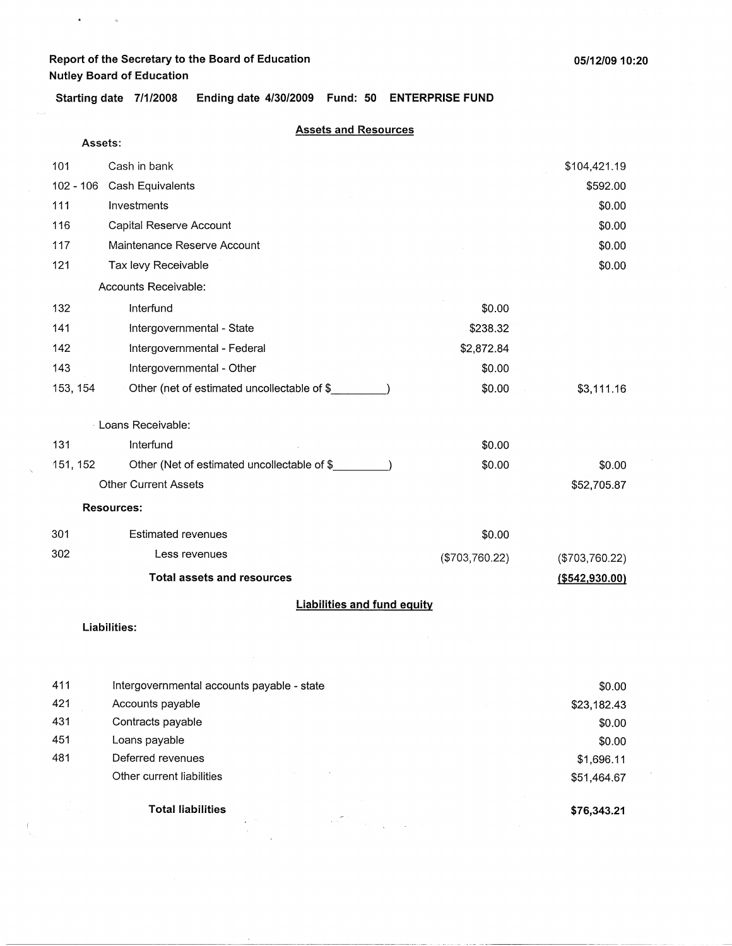$\bullet$  . <br> <br>  $\bullet$  . <br> <br> <br> $\bullet$  .

**Starting date 7/1/2008 Ending date 4/30/2009 Fund: 50 ENTERPRISE FUND** 

#### **Assets and Resources**

| Assets:     |                                             |                |                  |
|-------------|---------------------------------------------|----------------|------------------|
| 101         | Cash in bank                                |                | \$104,421.19     |
| $102 - 106$ | Cash Equivalents                            |                | \$592.00         |
| 111         | Investments                                 |                | \$0.00           |
| 116         | Capital Reserve Account                     |                | \$0.00           |
| 117         | Maintenance Reserve Account                 |                | \$0.00           |
| 121         | Tax levy Receivable                         |                | \$0.00           |
|             | Accounts Receivable:                        |                |                  |
| 132         | Interfund                                   | \$0.00         |                  |
| 141         | Intergovernmental - State                   | \$238.32       |                  |
| 142         | Intergovernmental - Federal                 | \$2,872.84     |                  |
| 143         | Intergovernmental - Other                   | \$0.00         |                  |
| 153, 154    | Other (net of estimated uncollectable of \$ | \$0.00         | \$3,111.16       |
|             | Loans Receivable:                           |                |                  |
| 131         | Interfund                                   | \$0.00         |                  |
| 151, 152    | Other (Net of estimated uncollectable of \$ | \$0.00         | \$0.00           |
|             | <b>Other Current Assets</b>                 |                | \$52,705.87      |
|             | <b>Resources:</b>                           |                |                  |
| 301         | <b>Estimated revenues</b>                   | \$0.00         |                  |
| 302         | Less revenues                               | (\$703,760.22) | (\$703,760.22)   |
|             | <b>Total assets and resources</b>           |                | ( \$542, 930.00) |
|             | <b>Liabilities and fund equity</b>          |                |                  |

**Liabilities:** 

|     | <b>Total liabilities</b>                   | \$76,343.21 |
|-----|--------------------------------------------|-------------|
|     | Other current liabilities                  | \$51,464.67 |
| 481 | Deferred revenues                          | \$1,696.11  |
| 451 | Loans payable                              | \$0.00      |
| 431 | Contracts payable                          | \$0.00      |
| 421 | Accounts payable                           | \$23,182.43 |
| 411 | Intergovernmental accounts payable - state | \$0.00      |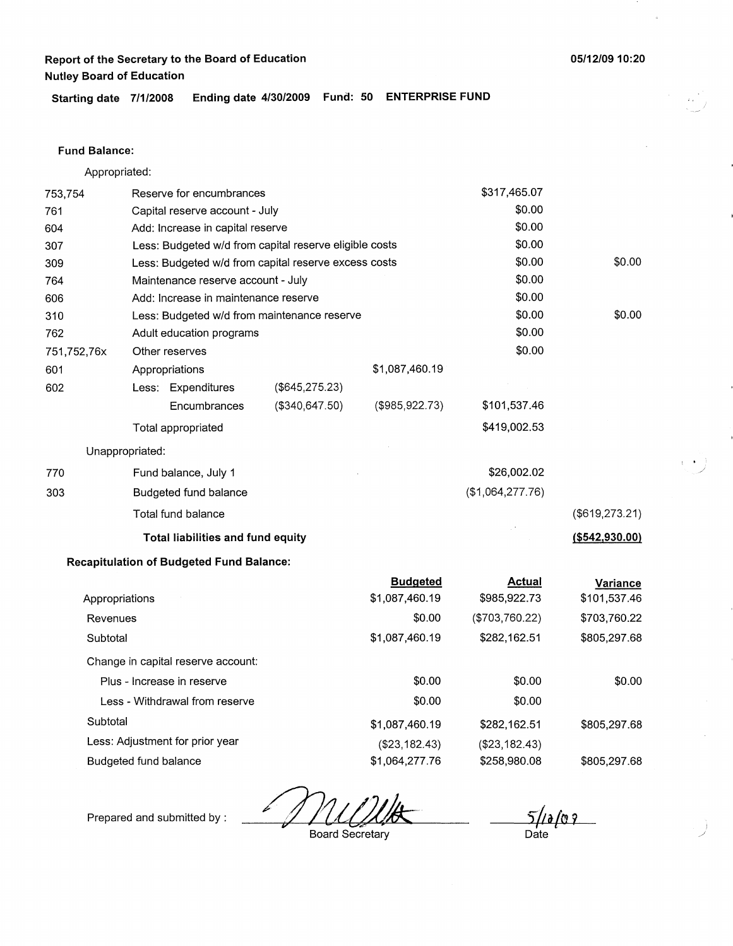**Starting date 7/1/2008 Ending date 4/30/2009 Fund: 50 ENTERPRISE FUND** 

#### **Fund Balance:**

Appropriated:

| 753,754     |                                | Reserve for encumbrances                        |                                                        |                                   | \$317,465.07                  |                                 |
|-------------|--------------------------------|-------------------------------------------------|--------------------------------------------------------|-----------------------------------|-------------------------------|---------------------------------|
| 761         | Capital reserve account - July |                                                 |                                                        | \$0.00                            |                               |                                 |
| 604         |                                | Add: Increase in capital reserve                |                                                        |                                   | \$0.00                        |                                 |
| 307         |                                |                                                 | Less: Budgeted w/d from capital reserve eligible costs |                                   | \$0.00                        |                                 |
| 309         |                                |                                                 | Less: Budgeted w/d from capital reserve excess costs   |                                   | \$0.00                        | \$0.00                          |
| 764         |                                | Maintenance reserve account - July              |                                                        |                                   | \$0.00                        |                                 |
| 606         |                                | Add: Increase in maintenance reserve            |                                                        |                                   | \$0.00                        |                                 |
| 310         |                                |                                                 | Less: Budgeted w/d from maintenance reserve            |                                   | \$0.00                        | \$0.00                          |
| 762         |                                | Adult education programs                        |                                                        |                                   | \$0.00                        |                                 |
| 751,752,76x |                                | Other reserves                                  |                                                        |                                   | \$0.00                        |                                 |
| 601         |                                | Appropriations                                  |                                                        | \$1,087,460.19                    |                               |                                 |
| 602         |                                | Less: Expenditures                              | (\$645, 275.23)                                        |                                   |                               |                                 |
|             |                                | Encumbrances                                    | ( \$340, 647.50)                                       | (\$985, 922.73)                   | \$101,537.46                  |                                 |
|             |                                | Total appropriated                              |                                                        |                                   | \$419,002.53                  |                                 |
|             | Unappropriated:                |                                                 |                                                        |                                   |                               |                                 |
| 770         |                                | Fund balance, July 1                            |                                                        |                                   | \$26,002.02                   |                                 |
| 303         |                                | Budgeted fund balance                           |                                                        |                                   | (\$1,064,277.76)              |                                 |
|             |                                | Total fund balance                              |                                                        |                                   |                               | (\$619, 273.21)                 |
|             |                                | Total liabilities and fund equity               |                                                        |                                   |                               | ( \$542, 930.00)                |
|             |                                | <b>Recapitulation of Budgeted Fund Balance:</b> |                                                        |                                   |                               |                                 |
|             | Appropriations                 |                                                 |                                                        | <b>Budgeted</b><br>\$1,087,460.19 | <b>Actual</b><br>\$985,922.73 | <b>Variance</b><br>\$101,537.46 |
| Revenues    |                                |                                                 |                                                        | \$0.00                            | (\$703,760.22)                | \$703,760.22                    |
| Subtotal    |                                |                                                 |                                                        | \$1,087,460.19                    | \$282,162.51                  | \$805,297.68                    |
|             |                                | Change in capital reserve account:              |                                                        |                                   |                               |                                 |
|             |                                | Plus - Increase in reserve                      |                                                        | \$0.00                            | \$0.00                        | \$0.00                          |
|             |                                | Less - Withdrawal from reserve                  |                                                        | \$0.00                            | \$0.00                        |                                 |
| Subtotal    |                                |                                                 |                                                        | \$1,087,460.19                    | \$282,162.51                  | \$805,297.68                    |
|             |                                | Less: Adjustment for prior year                 |                                                        | (\$23,182.43)                     | (\$23,182.43)                 |                                 |
|             | <b>Budgeted fund balance</b>   |                                                 |                                                        | \$1,064,277.76                    | \$258,980.08                  | \$805,297.68                    |

⊖

*,(1&{09*  Date

Prepared and submitted by :

Board Secretary

**05/12/0910:20** 

I • \_)

> I /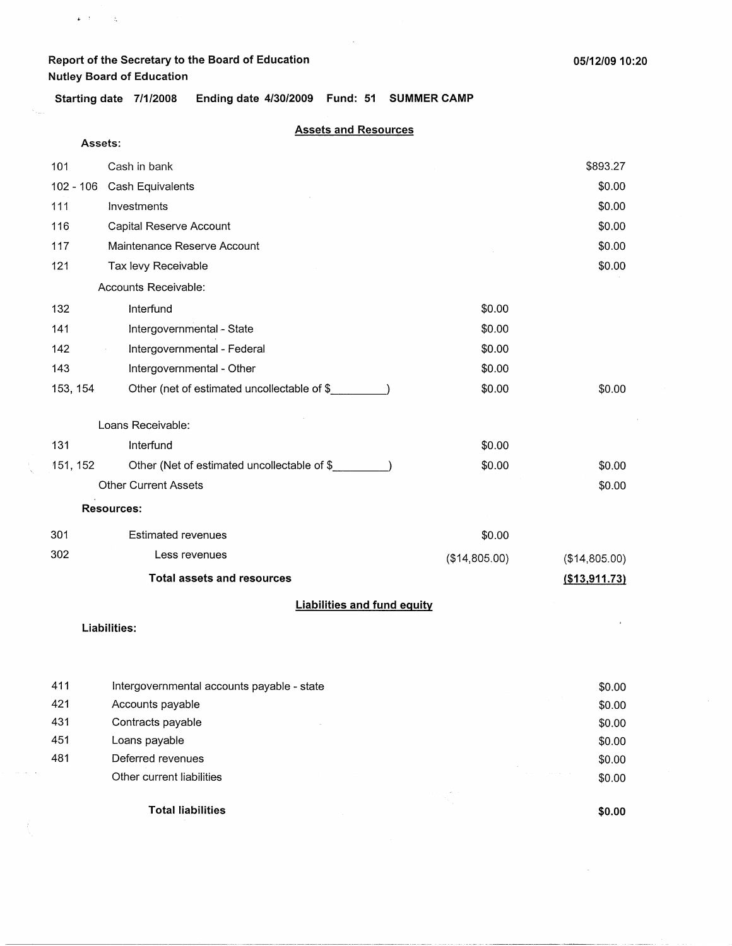$k$  .  $k$  ,  $\sim$   $\pm$   $\zeta$ 

 $\alpha$  ,  $\alpha$  ,  $\beta$ 

**Starting date 7/1/2008 Ending date 4/30/2009 Fund: 51 SUMMER CAMP** 

#### **Assets and Resources**

| Assets:      |                                             |               |               |  |  |
|--------------|---------------------------------------------|---------------|---------------|--|--|
| 101          | Cash in bank                                |               | \$893.27      |  |  |
| $102 - 106$  | Cash Equivalents                            | \$0.00        |               |  |  |
| 111          | Investments                                 |               | \$0.00        |  |  |
| 116          | Capital Reserve Account                     |               | \$0.00        |  |  |
| 117          | Maintenance Reserve Account                 |               | \$0.00        |  |  |
| 121          | Tax levy Receivable                         |               | \$0.00        |  |  |
|              | Accounts Receivable:                        |               |               |  |  |
| 132          | Interfund                                   | \$0.00        |               |  |  |
| 141          | Intergovernmental - State                   | \$0.00        |               |  |  |
| 142          | Intergovernmental - Federal                 | \$0.00        |               |  |  |
| 143          | Intergovernmental - Other                   | \$0.00        |               |  |  |
| 153, 154     | Other (net of estimated uncollectable of \$ | \$0.00        | \$0.00        |  |  |
|              |                                             |               |               |  |  |
|              | Loans Receivable:                           |               |               |  |  |
| 131          | Interfund                                   | \$0.00        |               |  |  |
| 151, 152     | Other (Net of estimated uncollectable of \$ | \$0.00        | \$0.00        |  |  |
|              | <b>Other Current Assets</b><br>\$0.00       |               |               |  |  |
|              | <b>Resources:</b>                           |               |               |  |  |
| 301          | <b>Estimated revenues</b>                   | \$0.00        |               |  |  |
| 302          | Less revenues                               | (\$14,805.00) | (\$14,805.00) |  |  |
|              | <b>Total assets and resources</b>           |               | (\$13,911.73) |  |  |
|              | <b>Liabilities and fund equity</b>          |               |               |  |  |
| Liabilities: |                                             |               |               |  |  |
|              |                                             |               |               |  |  |
|              |                                             |               |               |  |  |
| 411          | Intergovernmental accounts payable - state  |               | \$0.00        |  |  |

|     | <b>Total liabilities</b>                   |  | \$0.00 |
|-----|--------------------------------------------|--|--------|
|     |                                            |  |        |
|     | Other current liabilities                  |  | \$0.00 |
| 481 | Deferred revenues                          |  | \$0.00 |
| 451 | Loans payable                              |  | \$0.00 |
| 431 | Contracts payable                          |  | \$0.00 |
| 421 | Accounts payable                           |  | \$0.00 |
| 411 | Intergovernmental accounts payable - state |  | \$0.00 |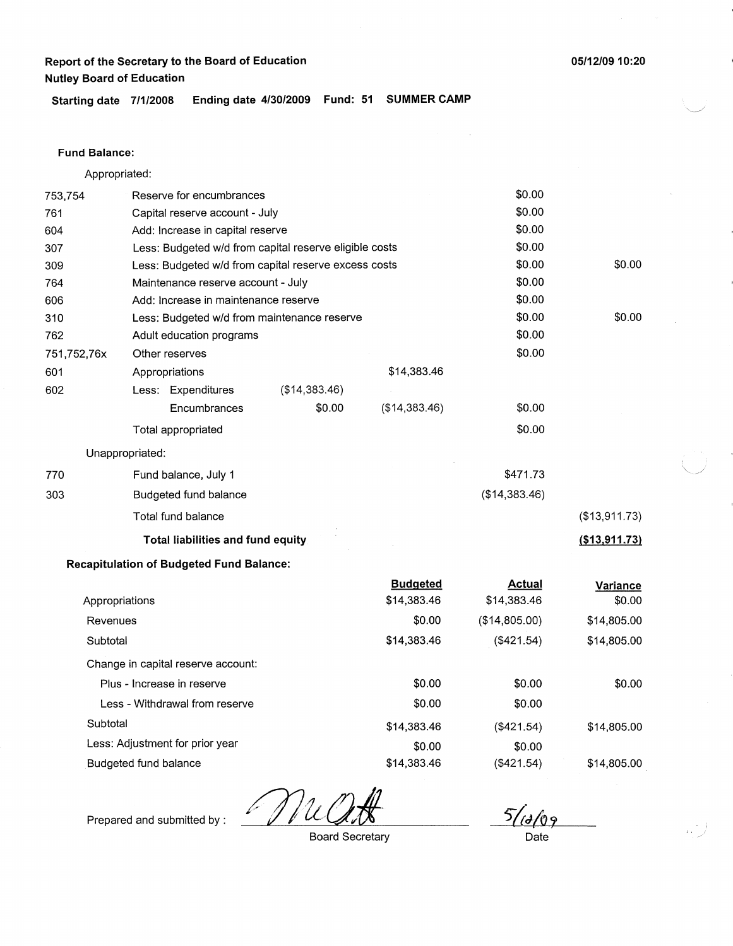**05/12/09 10:20** 

**Starting date 7/1/2008 Ending date 4/30/2009 Fund: 51 SUMMER CAMP** 

### Fund **Balance:**

Appropriated:

| 753,754     | Reserve for encumbrances                               |                                                      |                                | \$0.00                       |                    |
|-------------|--------------------------------------------------------|------------------------------------------------------|--------------------------------|------------------------------|--------------------|
| 761         | Capital reserve account - July                         |                                                      |                                | \$0.00                       |                    |
| 604         | Add: Increase in capital reserve                       | \$0.00                                               |                                |                              |                    |
| 307         | Less: Budgeted w/d from capital reserve eligible costs |                                                      |                                |                              |                    |
| 309         |                                                        | Less: Budgeted w/d from capital reserve excess costs |                                | \$0.00                       | \$0.00             |
| 764         | Maintenance reserve account - July                     |                                                      |                                | \$0.00                       |                    |
| 606         | Add: Increase in maintenance reserve                   |                                                      |                                | \$0.00                       |                    |
| 310         |                                                        | Less: Budgeted w/d from maintenance reserve          |                                | \$0.00                       | \$0.00             |
| 762         | Adult education programs                               |                                                      |                                | \$0.00                       |                    |
| 751,752,76x | Other reserves                                         |                                                      |                                | \$0.00                       |                    |
| 601         | Appropriations                                         |                                                      | \$14,383.46                    |                              |                    |
| 602         | Less: Expenditures                                     | (\$14,383.46)                                        |                                |                              |                    |
|             | Encumbrances                                           | \$0.00                                               | (\$14,383.46)                  | \$0.00                       |                    |
|             | Total appropriated                                     |                                                      |                                | \$0.00                       |                    |
|             | Unappropriated:                                        |                                                      |                                |                              |                    |
| 770         | Fund balance, July 1                                   |                                                      |                                | \$471.73                     |                    |
| 303         | Budgeted fund balance                                  |                                                      |                                | (\$14,383.46)                |                    |
|             | Total fund balance                                     |                                                      |                                |                              | (\$13,911.73)      |
|             | Total liabilities and fund equity                      |                                                      |                                |                              | (\$13,911.73)      |
|             | <b>Recapitulation of Budgeted Fund Balance:</b>        |                                                      |                                |                              |                    |
|             | Appropriations                                         |                                                      | <b>Budgeted</b><br>\$14,383.46 | <b>Actual</b><br>\$14,383.46 | Variance<br>\$0.00 |
| Revenues    |                                                        |                                                      | \$0.00                         | (\$14,805.00)                | \$14,805.00        |
| Subtotal    |                                                        |                                                      | \$14,383.46                    | (\$421.54)                   | \$14,805.00        |
|             | Change in capital reserve account:                     |                                                      |                                |                              |                    |
|             | Plus - Increase in reserve                             |                                                      | \$0.00                         | \$0.00                       | \$0.00             |
|             | Less - Withdrawal from reserve                         |                                                      | \$0.00                         | \$0.00                       |                    |
| Subtotal    |                                                        |                                                      | \$14,383.46                    | (\$421.54)                   | \$14,805.00        |
|             | Less: Adjustment for prior year                        |                                                      | \$0.00                         | \$0.00                       |                    |
|             | Budgeted fund balance                                  |                                                      | \$14,383.46                    | (\$421.54)                   | \$14,805.00        |

Prepared and submitted by :

Board Secretary

5/id/09

Date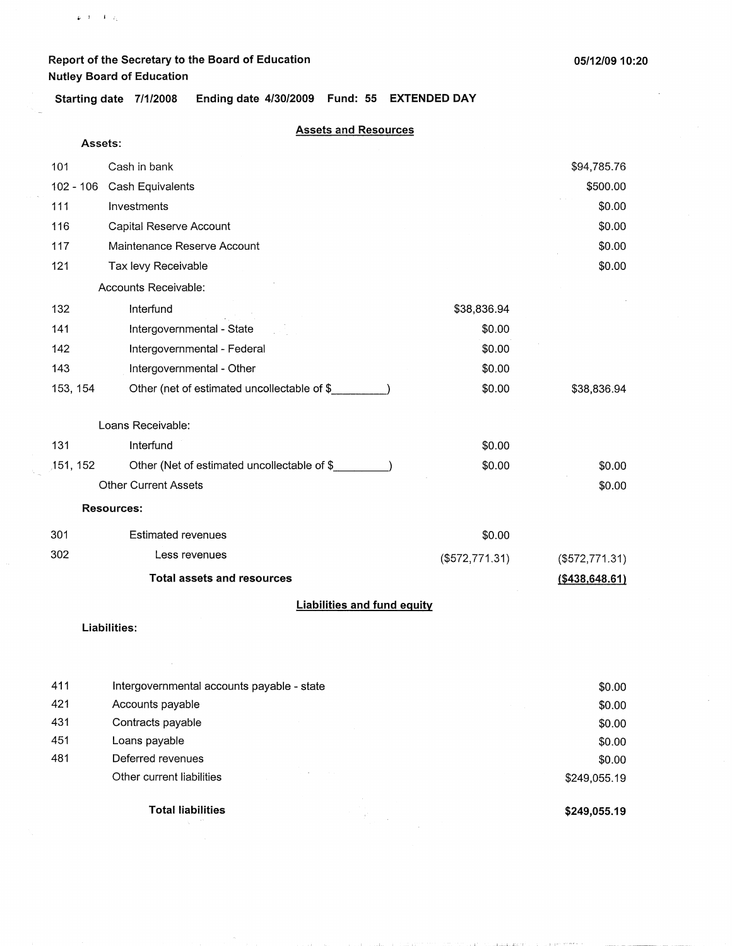$\mathfrak{g}_1(\mathfrak{k})=\mathfrak{k}^{\dagger}(\mathfrak{q}_2)$ 

 $\ddot{\phantom{a}}$ 

**Starting date 7/1/2008 Ending date 4/30/2009 Fund: 55 EXTENDED DAY** 

#### **Assets and Resources**

| Assets:     |                                             |                   |                  |
|-------------|---------------------------------------------|-------------------|------------------|
| 101         | Cash in bank                                |                   | \$94,785.76      |
| $102 - 106$ | Cash Equivalents                            |                   | \$500.00         |
| 111         | Investments                                 |                   | \$0.00           |
| 116         | Capital Reserve Account                     |                   | \$0.00           |
| 117         | Maintenance Reserve Account                 |                   | \$0.00           |
| 121         | Tax levy Receivable                         |                   | \$0.00           |
|             | Accounts Receivable:                        |                   |                  |
| 132         | Interfund                                   | \$38,836.94       |                  |
| 141         | Intergovernmental - State                   | \$0.00            |                  |
| 142         | Intergovernmental - Federal                 | \$0.00            |                  |
| 143         | Intergovernmental - Other                   | \$0.00            |                  |
| 153, 154    | Other (net of estimated uncollectable of \$ | \$0.00            | \$38,836.94      |
|             | Loans Receivable:                           |                   |                  |
| 131         | Interfund                                   | \$0.00            |                  |
| 151, 152    | Other (Net of estimated uncollectable of \$ | \$0.00            | \$0.00           |
|             | <b>Other Current Assets</b>                 |                   | \$0.00           |
|             | <b>Resources:</b>                           |                   |                  |
| 301         | <b>Estimated revenues</b>                   | \$0.00            |                  |
| 302         | Less revenues                               | $($ \$572,771.31) | (\$572,771.31)   |
|             | <b>Total assets and resources</b>           |                   | ( \$438, 648.61) |
|             | <b>Liabilities and fund equity</b>          |                   |                  |

#### **Liabilities:**

|     | <b>Total liabilities</b>                   | \$249,055.19 |
|-----|--------------------------------------------|--------------|
|     | Other current liabilities                  | \$249,055.19 |
| 481 | Deferred revenues                          | \$0.00       |
| 451 | Loans payable                              | \$0.00       |
| 431 | Contracts payable                          | \$0.00       |
| 421 | Accounts payable                           | \$0.00       |
| 411 | Intergovernmental accounts payable - state | \$0.00       |

contractor in the

and the

companies are more